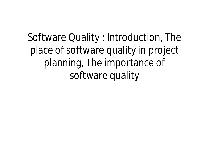Software Quality : Introduction, The place of software quality in project planning, The importance of software quality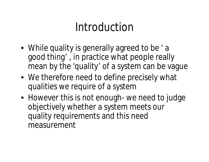## Introduction

- While quality is generally agreed to be 'a good thing' , in practice what people really mean by the 'quality' of a system can be vague
- We therefore need to define precisely what qualities we require of a system
- However this is not enough- we need to judge objectively whether a system meets our quality requirements and this need measurement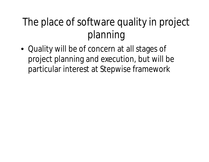### The place of software quality in project planning

• Quality will be of concern at all stages of project planning and execution, but will be particular interest at Stepwise framework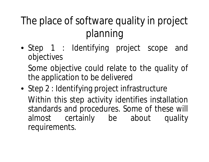## The place of software quality in project planning

• Step 1 : Identifying project scope and objectives

Some objective could relate to the quality of the application to be delivered

• Step 2 : Identifying project infrastructure Within this step activity identifies installation standards and procedures. Some of these will almost certainly be about quality requirements.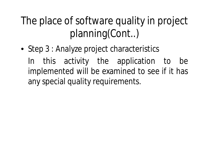The place of software quality in project planning(Cont..)

• Step 3 : Analyze project characteristics In this activity the application to be implemented will be examined to see if it has any special quality requirements.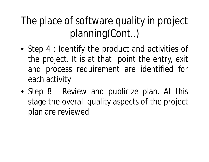The place of software quality in project planning(Cont..)

- Step 4 : Identify the product and activities of the project. It is at that point the entry, exit and process requirement are identified for each activity
- Step 8 : Review and publicize plan. At this stage the overall quality aspects of the project plan are reviewed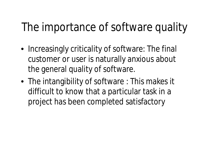# The importance of software quality

- Increasingly criticality of software: The final customer or user is naturally anxious about the general quality of software.
- The intangibility of software : This makes it difficult to know that a particular task in a project has been completed satisfactory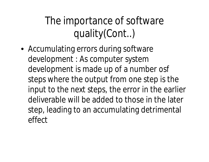The importance of software quality(Cont..)

• Accumulating errors during software development : As computer system development is made up of a number osf steps where the output from one step is the input to the next steps, the error in the earlier deliverable will be added to those in the later step, leading to an accumulating detrimental effect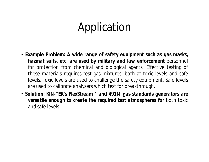### Application

- *Example Problem: A wide range of safety equipment such as gas masks, hazmat suits, etc. are used by military and law enforcement* personnel for protection from chemical and biological agents. Effective testing of these materials requires test gas mixtures, both at toxic levels and safe levels. Toxic levels are used to challenge the safety equipment. Safe levels are used to calibrate analyzers which test for breakthrough.
- *Solution: KIN-TEK's FlexStream™ and 491M gas standards generators are versatile enough to create the required test atmospheres for* both toxic and safe levels